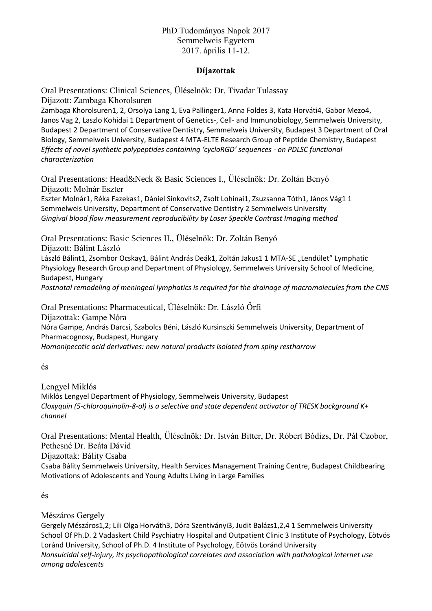# PhD Tudományos Napok 2017 Semmelweis Egyetem 2017. április 11-12.

# **Díjazottak**

Oral Presentations: Clinical Sciences, Üléselnök: Dr. Tivadar Tulassay Díjazott: Zambaga Khorolsuren

Zambaga Khorolsuren1, 2, Orsolya Lang 1, Eva Pallinger1, Anna Foldes 3, Kata Horváti4, Gabor Mezo4, Janos Vag 2, Laszlo Kohidai 1 Department of Genetics-, Cell- and Immunobiology, Semmelweis University, Budapest 2 Department of Conservative Dentistry, Semmelweis University, Budapest 3 Department of Oral Biology, Semmelweis University, Budapest 4 MTA-ELTE Research Group of Peptide Chemistry, Budapest *Effects of novel synthetic polypeptides containing 'cycloRGD' sequences - on PDLSC functional characterization*

Oral Presentations: Head&Neck & Basic Sciences I., Üléselnök: Dr. Zoltán Benyó Díjazott: Molnár Eszter

Eszter Molnár1, Réka Fazekas1, Dániel Sinkovits2, Zsolt Lohinai1, Zsuzsanna Tóth1, János Vág1 1 Semmelweis University, Department of Conservative Dentistry 2 Semmelweis University *Gingival blood flow measurement reproducibility by Laser Speckle Contrast Imaging method*

Oral Presentations: Basic Sciences II., Üléselnök: Dr. Zoltán Benyó Díjazott: Bálint László László Bálint1, Zsombor Ocskay1, Bálint András Deák1, Zoltán Jakus1 1 MTA-SE "Lendület" Lymphatic Physiology Research Group and Department of Physiology, Semmelweis University School of Medicine, Budapest, Hungary *Postnatal remodeling of meningeal lymphatics is required for the drainage of macromolecules from the CNS*

Oral Presentations: Pharmaceutical, Üléselnök: Dr. László Őrfi

Díjazottak: Gampe Nóra Nóra Gampe, András Darcsi, Szabolcs Béni, László Kursinszki Semmelweis University, Department of Pharmacognosy, Budapest, Hungary *Homonipecotic acid derivatives: new natural products isolated from spiny restharrow*

Lengyel Miklós Miklós Lengyel Department of Physiology, Semmelweis University, Budapest *Cloxyquin (5-chloroquinolin-8-ol) is a selective and state dependent activator of TRESK background K+ channel*

Oral Presentations: Mental Health, Üléselnök: Dr. István Bitter, Dr. Róbert Bódizs, Dr. Pál Czobor, Pethesné Dr. Beáta Dávid

Díjazottak: Bálity Csaba

Csaba Bálity Semmelweis University, Health Services Management Training Centre, Budapest Childbearing Motivations of Adolescents and Young Adults Living in Large Families

```
és
```
Mészáros Gergely

Gergely Mészáros1,2; Lili Olga Horváth3, Dóra Szentiványi3, Judit Balázs1,2,4 1 Semmelweis University School Of Ph.D. 2 Vadaskert Child Psychiatry Hospital and Outpatient Clinic 3 Institute of Psychology, Eötvös Loránd University, School of Ph.D. 4 Institute of Psychology, Eötvös Loránd University *Nonsuicidal self-injury, its psychopathological correlates and association with pathological internet use among adolescents*

és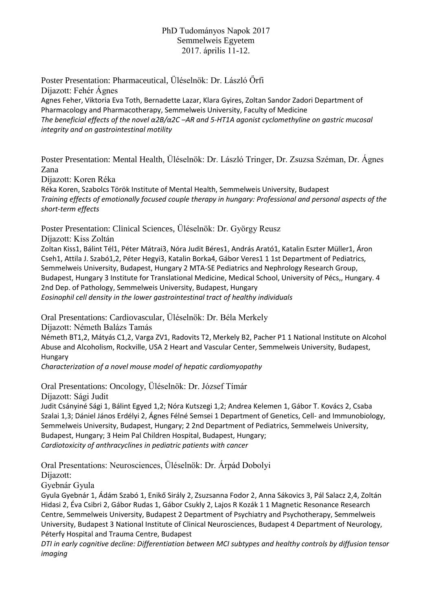### PhD Tudományos Napok 2017 Semmelweis Egyetem 2017. április 11-12.

Poster Presentation: Pharmaceutical, Üléselnök: Dr. László Őrfi Díjazott: Fehér Ágnes Agnes Feher, Viktoria Eva Toth, Bernadette Lazar, Klara Gyires, Zoltan Sandor Zadori Department of Pharmacology and Pharmacotherapy, Semmelweis University, Faculty of Medicine *The beneficial effects of the novel α2B/α2C –AR and 5-HT1A agonist cyclomethyline on gastric mucosal integrity and on gastrointestinal motility*

Poster Presentation: Mental Health, Üléselnök: Dr. László Tringer, Dr. Zsuzsa Széman, Dr. Ágnes Zana

Díjazott: Koren Réka

Réka Koren, Szabolcs Török Institute of Mental Health, Semmelweis University, Budapest *Training effects of emotionally focused couple therapy in hungary: Professional and personal aspects of the short-term effects*

Poster Presentation: Clinical Sciences, Üléselnök: Dr. György Reusz Díjazott: Kiss Zoltán

Zoltan Kiss1, Bálint Tél1, Péter Mátrai3, Nóra Judit Béres1, András Arató1, Katalin Eszter Müller1, Áron Cseh1, Attila J. Szabó1,2, Péter Hegyi3, Katalin Borka4, Gábor Veres1 1 1st Department of Pediatrics, Semmelweis University, Budapest, Hungary 2 MTA-SE Pediatrics and Nephrology Research Group, Budapest, Hungary 3 Institute for Translational Medicine, Medical School, University of Pécs,, Hungary. 4 2nd Dep. of Pathology, Semmelweis University, Budapest, Hungary *Eosinophil cell density in the lower gastrointestinal tract of healthy individuals*

Oral Presentations: Cardiovascular, Üléselnök: Dr. Béla Merkely Díjazott: Németh Balázs Tamás

Németh BT1,2, Mátyás C1,2, Varga ZV1, Radovits T2, Merkely B2, Pacher P1 1 National Institute on Alcohol Abuse and Alcoholism, Rockville, USA 2 Heart and Vascular Center, Semmelweis University, Budapest, Hungary

*Characterization of a novel mouse model of hepatic cardiomyopathy*

Oral Presentations: Oncology, Üléselnök: Dr. József Tímár

Díjazott: Sági Judit

Judit Csányiné Sági 1, Bálint Egyed 1,2; Nóra Kutszegi 1,2; Andrea Kelemen 1, Gábor T. Kovács 2, Csaba Szalai 1,3; Dániel János Erdélyi 2, Ágnes Félné Semsei 1 Department of Genetics, Cell- and Immunobiology, Semmelweis University, Budapest, Hungary; 2 2nd Department of Pediatrics, Semmelweis University, Budapest, Hungary; 3 Heim Pal Children Hospital, Budapest, Hungary; *Cardiotoxicity of anthracyclines in pediatric patients with cancer*

Oral Presentations: Neurosciences, Üléselnök: Dr. Árpád Dobolyi

Díjazott:

Gyebnár Gyula

Gyula Gyebnár 1, Ádám Szabó 1, Enikő Sirály 2, Zsuzsanna Fodor 2, Anna Sákovics 3, Pál Salacz 2,4, Zoltán Hidasi 2, Éva Csibri 2, Gábor Rudas 1, Gábor Csukly 2, Lajos R Kozák 1 1 Magnetic Resonance Research Centre, Semmelweis University, Budapest 2 Department of Psychiatry and Psychotherapy, Semmelweis University, Budapest 3 National Institute of Clinical Neurosciences, Budapest 4 Department of Neurology, Péterfy Hospital and Trauma Centre, Budapest

*DTI in early cognitive decline: Differentiation between MCI subtypes and healthy controls by diffusion tensor imaging*